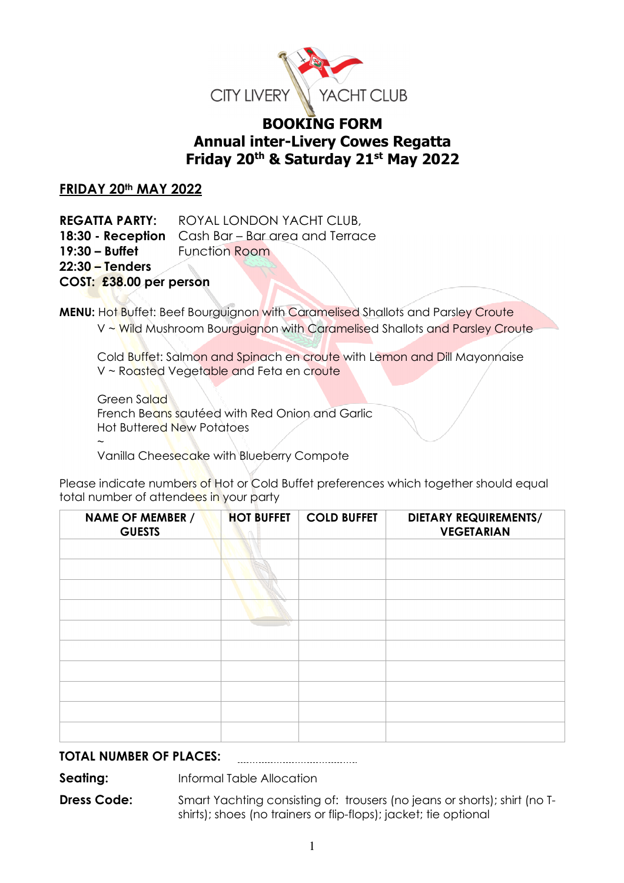

# **BOOKING FORM Annual inter-Livery Cowes Regatta Friday 20th & Saturday 21st May 2022**

## **FRIDAY 20th MAY 2022**

**REGATTA PARTY:** ROYAL LONDON YACHT CLUB, **18:30 - Reception** Cash Bar – Bar area and Terrace **19:30 – Buffet Function Room 22:30 – Tenders COST: £38.00 per person**

**MENU:** Hot Buffet: Beef Bourguignon with Caramelised Shallots and Parsley Croute V ~ Wild Mushroom Bourguignon with Caramelised Shallots and Parsley Croute

Cold Buffet: Salmon and Spinach en croute with Lemon and Dill Mayonnaise V ~ Roasted Vegetable and Feta en croute

Green Salad French Beans sautéed with Red Onion and Garlic Hot Buttered New Potatoes

 $\sim$ Vanilla Cheesecake with Blueberry Compote

Please indicate numbers of Hot or Cold Buffet preferences which together should equal total number of attendees in your party

| <b>NAME OF MEMBER /</b><br><b>GUESTS</b> | <b>HOT BUFFET</b> | <b>COLD BUFFET</b> | <b>DIETARY REQUIREMENTS/</b><br><b>VEGETARIAN</b> |
|------------------------------------------|-------------------|--------------------|---------------------------------------------------|
|                                          |                   |                    |                                                   |
|                                          |                   |                    |                                                   |
|                                          |                   |                    |                                                   |
|                                          |                   |                    |                                                   |
|                                          |                   |                    |                                                   |
|                                          |                   |                    |                                                   |
|                                          |                   |                    |                                                   |
|                                          |                   |                    |                                                   |
|                                          |                   |                    |                                                   |
|                                          |                   |                    |                                                   |

#### **TOTAL NUMBER OF PLACES:**

**Seating: Informal Table Allocation** 

**Dress Code:** Smart Yachting consisting of: trousers (no jeans or shorts); shirt (no Tshirts); shoes (no trainers or flip-flops); jacket; tie optional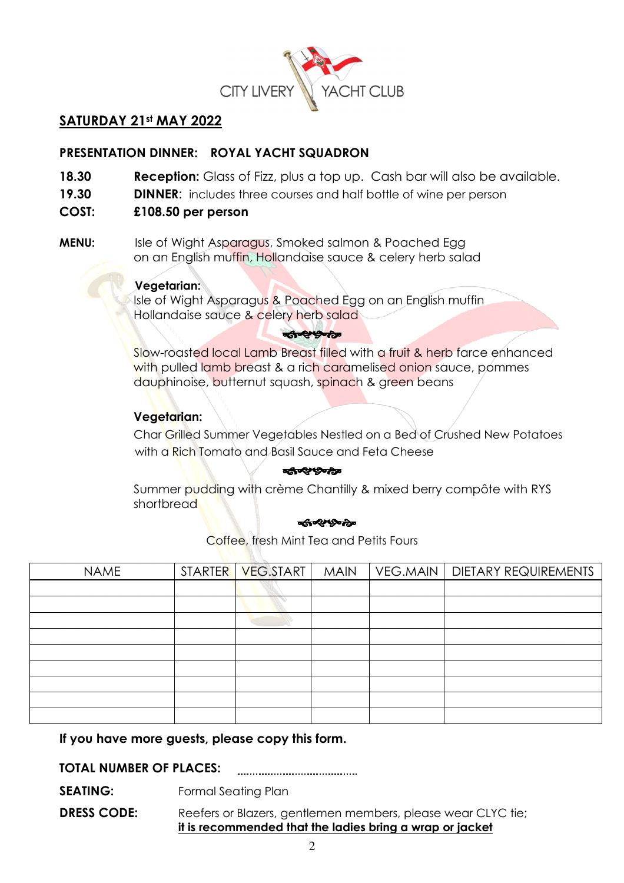

## **SATURDAY 21st MAY 2022**

## **PRESENTATION DINNER: ROYAL YACHT SQUADRON**

- **18.30 Reception:** Glass of Fizz, plus a top up. Cash bar will also be available.
- **19.30 DINNER**: includes three courses and half bottle of wine per person
- **COST: £108.50 per person**
- **MENU:** Isle of Wight Asparagus, Smoked salmon & Poached Egg on an English muffin, Hollandaise sauce & celery herb salad

#### **Vegetarian:**

Isle of Wight Asparagus & Poached Egg on an English muffin Hollandaise sauce & celery herb salad

#### **They Don't**

 Slow-roasted local Lamb Breast filled with a fruit & herb farce enhanced with pulled lamb breast & a rich caramelised onion sauce, pommes dauphinoise, butternut squash, spinach & green beans

## **Vegetarian:**

Char Grilled Summer Vegetables Nestled on a Bed of Crushed New Potatoes with a Rich Tomato and Basil Sauce and Feta Cheese

#### की परिष्ठीक

 Summer pudding with crème Chantilly & mixed berry compôte with RYS shortbread

#### ৰ্জন্থপুষ্ঠক

Coffee, fresh Mint Tea and Petits Fours

| <b>NAME</b> | STARTER   VEG.START | <b>MAIN</b> | VEG.MAIN   DIETARY REQUIREMENTS |
|-------------|---------------------|-------------|---------------------------------|
|             |                     |             |                                 |
|             |                     |             |                                 |
|             |                     |             |                                 |
|             |                     |             |                                 |
|             |                     |             |                                 |
|             |                     |             |                                 |
|             |                     |             |                                 |
|             |                     |             |                                 |
|             |                     |             |                                 |

## **If you have more guests, please copy this form.**

**TOTAL NUMBER OF PLACES:**  

**SEATING:** Formal Seating Plan

**DRESS CODE:** Reefers or Blazers, gentlemen members, please wear CLYC tie; **it is recommended that the ladies bring a wrap or jacket**